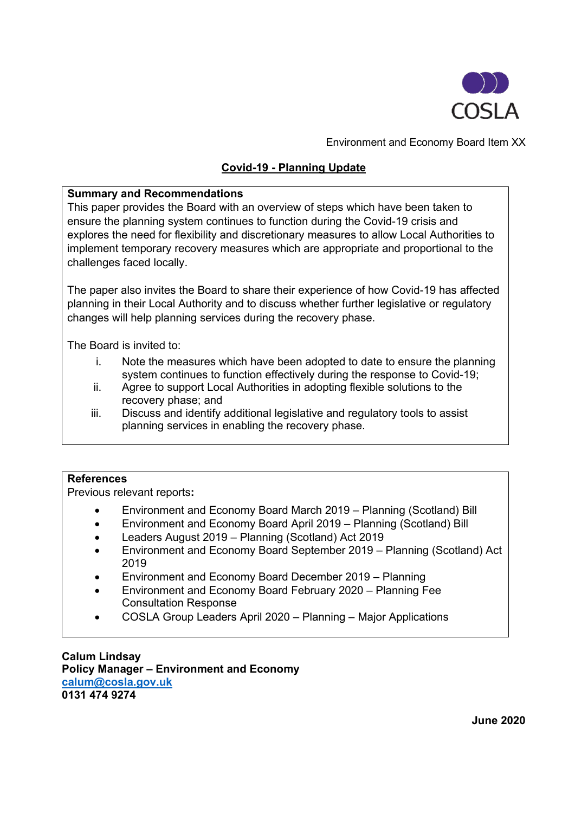

Environment and Economy Board Item XX

# **Covid-19 - Planning Update**

### **Summary and Recommendations**

This paper provides the Board with an overview of steps which have been taken to ensure the planning system continues to function during the Covid-19 crisis and explores the need for flexibility and discretionary measures to allow Local Authorities to implement temporary recovery measures which are appropriate and proportional to the challenges faced locally.

The paper also invites the Board to share their experience of how Covid-19 has affected planning in their Local Authority and to discuss whether further legislative or regulatory changes will help planning services during the recovery phase.

The Board is invited to:

- i. Note the measures which have been adopted to date to ensure the planning system continues to function effectively during the response to Covid-19;
- ii. Agree to support Local Authorities in adopting flexible solutions to the recovery phase; and
- iii. Discuss and identify additional legislative and regulatory tools to assist planning services in enabling the recovery phase.

#### **References**

Previous relevant reports**:**

- Environment and Economy Board March 2019 Planning (Scotland) Bill
- Environment and Economy Board April 2019 Planning (Scotland) Bill
- Leaders August 2019 Planning (Scotland) Act 2019
- Environment and Economy Board September 2019 Planning (Scotland) Act 2019
- Environment and Economy Board December 2019 Planning
- Environment and Economy Board February 2020 Planning Fee Consultation Response
- COSLA Group Leaders April 2020 Planning Major Applications

**Calum Lindsay Policy Manager – Environment and Economy [calum@cosla.gov.uk](mailto:calum@cosla.gov.uk) 0131 474 9274**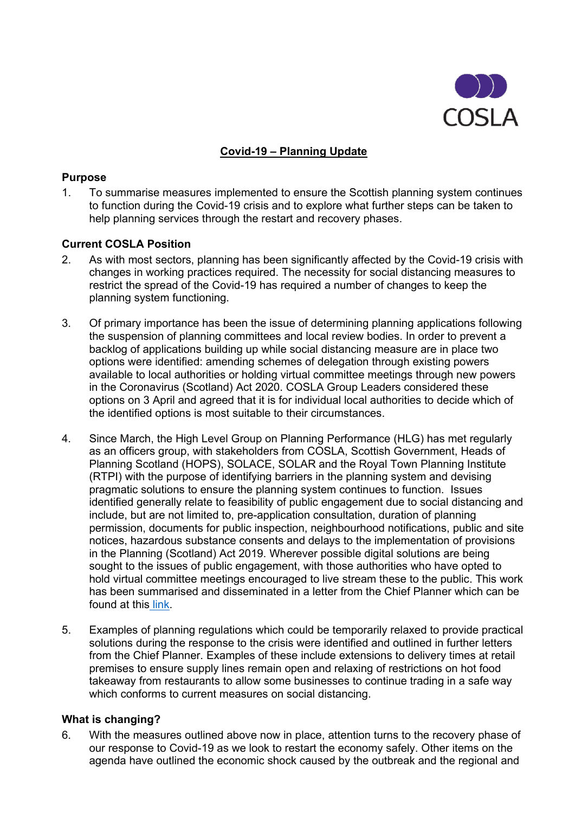

# **Covid-19 – Planning Update**

#### **Purpose**

1. To summarise measures implemented to ensure the Scottish planning system continues to function during the Covid-19 crisis and to explore what further steps can be taken to help planning services through the restart and recovery phases.

## **Current COSLA Position**

- 2. As with most sectors, planning has been significantly affected by the Covid-19 crisis with changes in working practices required. The necessity for social distancing measures to restrict the spread of the Covid-19 has required a number of changes to keep the planning system functioning.
- 3. Of primary importance has been the issue of determining planning applications following the suspension of planning committees and local review bodies. In order to prevent a backlog of applications building up while social distancing measure are in place two options were identified: amending schemes of delegation through existing powers available to local authorities or holding virtual committee meetings through new powers in the Coronavirus (Scotland) Act 2020. COSLA Group Leaders considered these options on 3 April and agreed that it is for individual local authorities to decide which of the identified options is most suitable to their circumstances.
- 4. Since March, the High Level Group on Planning Performance (HLG) has met regularly as an officers group, with stakeholders from COSLA, Scottish Government, Heads of Planning Scotland (HOPS), SOLACE, SOLAR and the Royal Town Planning Institute (RTPI) with the purpose of identifying barriers in the planning system and devising pragmatic solutions to ensure the planning system continues to function. Issues identified generally relate to feasibility of public engagement due to social distancing and include, but are not limited to, pre-application consultation, duration of planning permission, documents for public inspection, neighbourhood notifications, public and site notices, hazardous substance consents and delays to the implementation of provisions in the Planning (Scotland) Act 2019. Wherever possible digital solutions are being sought to the issues of public engagement, with those authorities who have opted to hold virtual committee meetings encouraged to live stream these to the public. This work has been summarised and disseminated in a letter from the Chief Planner which can be found at this link.
- 5. Examples of planning regulations which could be temporarily relaxed to provide practical solutions during the response to the crisis were identified and outlined in further letters from the Chief Planner. Examples of these include extensions to delivery times at retail premises to ensure supply lines remain open and relaxing of restrictions on hot food takeaway from restaurants to allow some businesses to continue trading in a safe way which conforms to current measures on social distancing.

#### **What is changing?**

6. With the measures outlined above now in place, attention turns to the recovery phase of our response to Covid-19 as we look to restart the economy safely. Other items on the agenda have outlined the economic shock caused by the outbreak and the regional and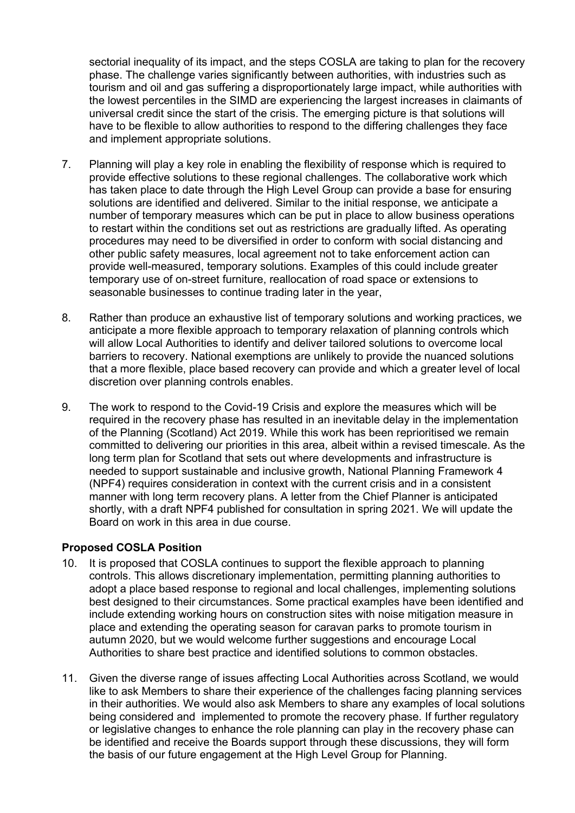sectorial inequality of its impact, and the steps COSLA are taking to plan for the recovery phase. The challenge varies significantly between authorities, with industries such as tourism and oil and gas suffering a disproportionately large impact, while authorities with the lowest percentiles in the SIMD are experiencing the largest increases in claimants of universal credit since the start of the crisis. The emerging picture is that solutions will have to be flexible to allow authorities to respond to the differing challenges they face and implement appropriate solutions.

- 7. Planning will play a key role in enabling the flexibility of response which is required to provide effective solutions to these regional challenges. The collaborative work which has taken place to date through the High Level Group can provide a base for ensuring solutions are identified and delivered. Similar to the initial response, we anticipate a number of temporary measures which can be put in place to allow business operations to restart within the conditions set out as restrictions are gradually lifted. As operating procedures may need to be diversified in order to conform with social distancing and other public safety measures, local agreement not to take enforcement action can provide well-measured, temporary solutions. Examples of this could include greater temporary use of on-street furniture, reallocation of road space or extensions to seasonable businesses to continue trading later in the year,
- 8. Rather than produce an exhaustive list of temporary solutions and working practices, we anticipate a more flexible approach to temporary relaxation of planning controls which will allow Local Authorities to identify and deliver tailored solutions to overcome local barriers to recovery. National exemptions are unlikely to provide the nuanced solutions that a more flexible, place based recovery can provide and which a greater level of local discretion over planning controls enables.
- 9. The work to respond to the Covid-19 Crisis and explore the measures which will be required in the recovery phase has resulted in an inevitable delay in the implementation of the Planning (Scotland) Act 2019. While this work has been reprioritised we remain committed to delivering our priorities in this area, albeit within a revised timescale. As the long term plan for Scotland that sets out where developments and infrastructure is needed to support sustainable and inclusive growth, National Planning Framework 4 (NPF4) requires consideration in context with the current crisis and in a consistent manner with long term recovery plans. A letter from the Chief Planner is anticipated shortly, with a draft NPF4 published for consultation in spring 2021. We will update the Board on work in this area in due course.

## **Proposed COSLA Position**

- 10. It is proposed that COSLA continues to support the flexible approach to planning controls. This allows discretionary implementation, permitting planning authorities to adopt a place based response to regional and local challenges, implementing solutions best designed to their circumstances. Some practical examples have been identified and include extending working hours on construction sites with noise mitigation measure in place and extending the operating season for caravan parks to promote tourism in autumn 2020, but we would welcome further suggestions and encourage Local Authorities to share best practice and identified solutions to common obstacles.
- 11. Given the diverse range of issues affecting Local Authorities across Scotland, we would like to ask Members to share their experience of the challenges facing planning services in their authorities. We would also ask Members to share any examples of local solutions being considered and implemented to promote the recovery phase. If further regulatory or legislative changes to enhance the role planning can play in the recovery phase can be identified and receive the Boards support through these discussions, they will form the basis of our future engagement at the High Level Group for Planning.